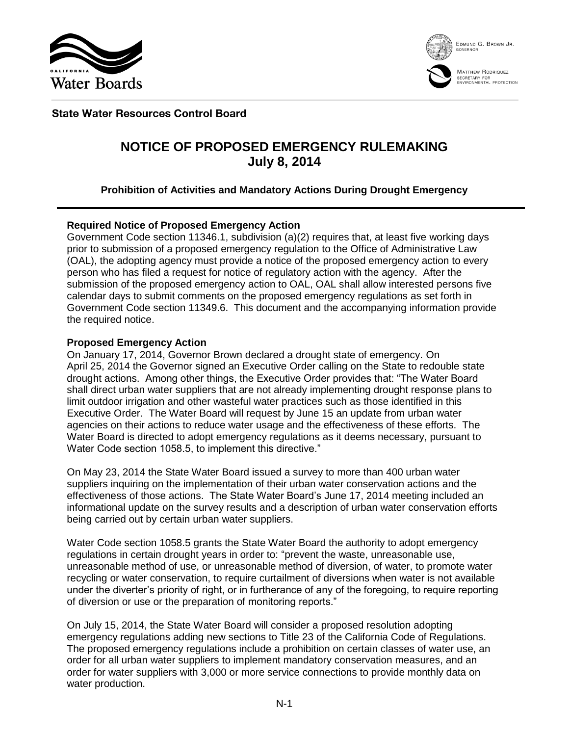



MATTHEW RODRIQUEZ SECRETARY FOR<br>ENVIRONMENTAL PROTECTION

# **State Water Resources Control Board**

# **NOTICE OF PROPOSED EMERGENCY RULEMAKING July 8, 2014**

# **Prohibition of Activities and Mandatory Actions During Drought Emergency**

# **Required Notice of Proposed Emergency Action**

Government Code section 11346.1, subdivision (a)(2) requires that, at least five working days prior to submission of a proposed emergency regulation to the Office of Administrative Law (OAL), the adopting agency must provide a notice of the proposed emergency action to every person who has filed a request for notice of regulatory action with the agency. After the submission of the proposed emergency action to OAL, OAL shall allow interested persons five calendar days to submit comments on the proposed emergency regulations as set forth in Government Code section 11349.6. This document and the accompanying information provide the required notice.

# **Proposed Emergency Action**

On January 17, 2014, Governor Brown declared a drought state of emergency. On April 25, 2014 the Governor signed an Executive Order calling on the State to redouble state drought actions. Among other things, the Executive Order provides that: "The Water Board shall direct urban water suppliers that are not already implementing drought response plans to limit outdoor irrigation and other wasteful water practices such as those identified in this Executive Order. The Water Board will request by June 15 an update from urban water agencies on their actions to reduce water usage and the effectiveness of these efforts. The Water Board is directed to adopt emergency regulations as it deems necessary, pursuant to Water Code section 1058.5, to implement this directive."

On May 23, 2014 the State Water Board issued a survey to more than 400 urban water suppliers inquiring on the implementation of their urban water conservation actions and the effectiveness of those actions. The State Water Board's June 17, 2014 meeting included an informational update on the survey results and a description of urban water conservation efforts being carried out by certain urban water suppliers.

Water Code section 1058.5 grants the State Water Board the authority to adopt emergency regulations in certain drought years in order to: "prevent the waste, unreasonable use, unreasonable method of use, or unreasonable method of diversion, of water, to promote water recycling or water conservation, to require curtailment of diversions when water is not available under the diverter's priority of right, or in furtherance of any of the foregoing, to require reporting of diversion or use or the preparation of monitoring reports."

On July 15, 2014, the State Water Board will consider a proposed resolution adopting emergency regulations adding new sections to Title 23 of the California Code of Regulations. The proposed emergency regulations include a prohibition on certain classes of water use, an order for all urban water suppliers to implement mandatory conservation measures, and an order for water suppliers with 3,000 or more service connections to provide monthly data on water production.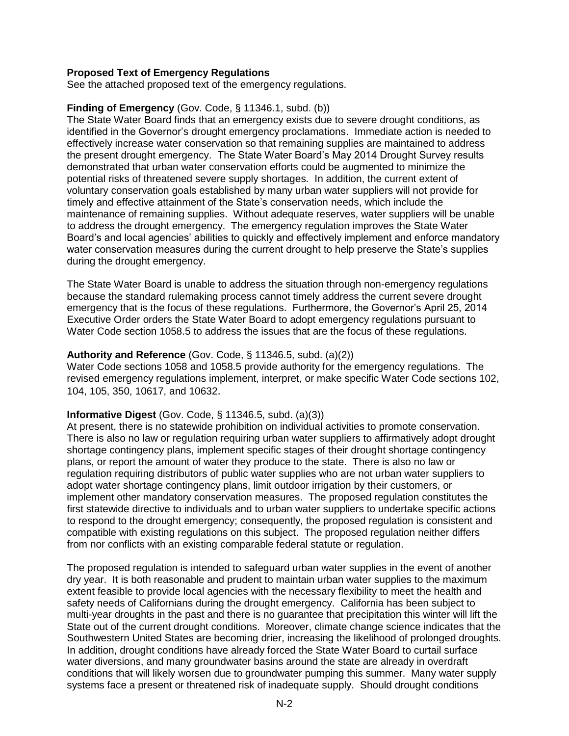# **Proposed Text of Emergency Regulations**

See the attached proposed text of the emergency regulations.

#### **Finding of Emergency** (Gov. Code, § 11346.1, subd. (b))

The State Water Board finds that an emergency exists due to severe drought conditions, as identified in the Governor's drought emergency proclamations. Immediate action is needed to effectively increase water conservation so that remaining supplies are maintained to address the present drought emergency. The State Water Board's May 2014 Drought Survey results demonstrated that urban water conservation efforts could be augmented to minimize the potential risks of threatened severe supply shortages. In addition, the current extent of voluntary conservation goals established by many urban water suppliers will not provide for timely and effective attainment of the State's conservation needs, which include the maintenance of remaining supplies. Without adequate reserves, water suppliers will be unable to address the drought emergency. The emergency regulation improves the State Water Board's and local agencies' abilities to quickly and effectively implement and enforce mandatory water conservation measures during the current drought to help preserve the State's supplies during the drought emergency.

The State Water Board is unable to address the situation through non-emergency regulations because the standard rulemaking process cannot timely address the current severe drought emergency that is the focus of these regulations. Furthermore, the Governor's April 25, 2014 Executive Order orders the State Water Board to adopt emergency regulations pursuant to Water Code section 1058.5 to address the issues that are the focus of these regulations.

# **Authority and Reference** (Gov. Code, § 11346.5, subd. (a)(2))

Water Code sections 1058 and 1058.5 provide authority for the emergency regulations. The revised emergency regulations implement, interpret, or make specific Water Code sections 102, 104, 105, 350, 10617, and 10632.

# **Informative Digest** (Gov. Code, § 11346.5, subd. (a)(3))

At present, there is no statewide prohibition on individual activities to promote conservation. There is also no law or regulation requiring urban water suppliers to affirmatively adopt drought shortage contingency plans, implement specific stages of their drought shortage contingency plans, or report the amount of water they produce to the state. There is also no law or regulation requiring distributors of public water supplies who are not urban water suppliers to adopt water shortage contingency plans, limit outdoor irrigation by their customers, or implement other mandatory conservation measures. The proposed regulation constitutes the first statewide directive to individuals and to urban water suppliers to undertake specific actions to respond to the drought emergency; consequently, the proposed regulation is consistent and compatible with existing regulations on this subject. The proposed regulation neither differs from nor conflicts with an existing comparable federal statute or regulation.

The proposed regulation is intended to safeguard urban water supplies in the event of another dry year. It is both reasonable and prudent to maintain urban water supplies to the maximum extent feasible to provide local agencies with the necessary flexibility to meet the health and safety needs of Californians during the drought emergency. California has been subject to multi-year droughts in the past and there is no guarantee that precipitation this winter will lift the State out of the current drought conditions. Moreover, climate change science indicates that the Southwestern United States are becoming drier, increasing the likelihood of prolonged droughts. In addition, drought conditions have already forced the State Water Board to curtail surface water diversions, and many groundwater basins around the state are already in overdraft conditions that will likely worsen due to groundwater pumping this summer. Many water supply systems face a present or threatened risk of inadequate supply. Should drought conditions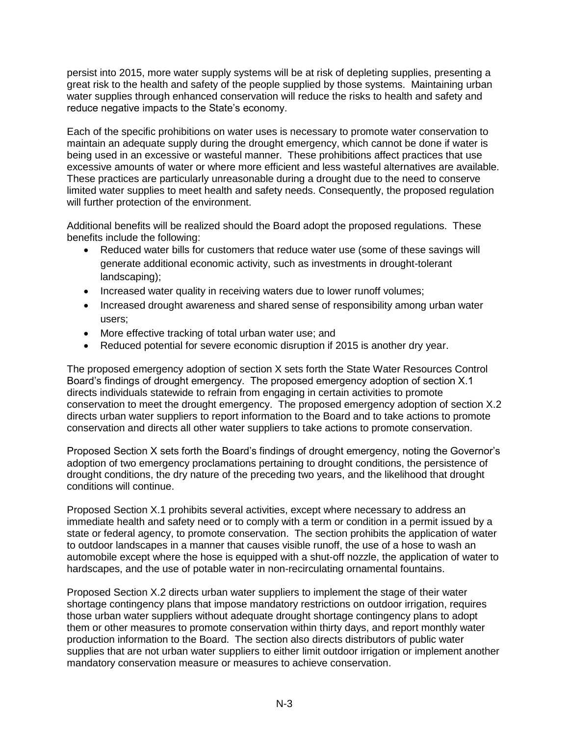persist into 2015, more water supply systems will be at risk of depleting supplies, presenting a great risk to the health and safety of the people supplied by those systems. Maintaining urban water supplies through enhanced conservation will reduce the risks to health and safety and reduce negative impacts to the State's economy.

Each of the specific prohibitions on water uses is necessary to promote water conservation to maintain an adequate supply during the drought emergency, which cannot be done if water is being used in an excessive or wasteful manner. These prohibitions affect practices that use excessive amounts of water or where more efficient and less wasteful alternatives are available. These practices are particularly unreasonable during a drought due to the need to conserve limited water supplies to meet health and safety needs. Consequently, the proposed regulation will further protection of the environment.

Additional benefits will be realized should the Board adopt the proposed regulations. These benefits include the following:

- Reduced water bills for customers that reduce water use (some of these savings will generate additional economic activity, such as investments in drought-tolerant landscaping);
- Increased water quality in receiving waters due to lower runoff volumes;
- Increased drought awareness and shared sense of responsibility among urban water users;
- More effective tracking of total urban water use; and
- Reduced potential for severe economic disruption if 2015 is another dry year.

The proposed emergency adoption of section X sets forth the State Water Resources Control Board's findings of drought emergency. The proposed emergency adoption of section X.1 directs individuals statewide to refrain from engaging in certain activities to promote conservation to meet the drought emergency. The proposed emergency adoption of section X.2 directs urban water suppliers to report information to the Board and to take actions to promote conservation and directs all other water suppliers to take actions to promote conservation.

Proposed Section X sets forth the Board's findings of drought emergency, noting the Governor's adoption of two emergency proclamations pertaining to drought conditions, the persistence of drought conditions, the dry nature of the preceding two years, and the likelihood that drought conditions will continue.

Proposed Section X.1 prohibits several activities, except where necessary to address an immediate health and safety need or to comply with a term or condition in a permit issued by a state or federal agency, to promote conservation. The section prohibits the application of water to outdoor landscapes in a manner that causes visible runoff, the use of a hose to wash an automobile except where the hose is equipped with a shut-off nozzle, the application of water to hardscapes, and the use of potable water in non-recirculating ornamental fountains.

Proposed Section X.2 directs urban water suppliers to implement the stage of their water shortage contingency plans that impose mandatory restrictions on outdoor irrigation, requires those urban water suppliers without adequate drought shortage contingency plans to adopt them or other measures to promote conservation within thirty days, and report monthly water production information to the Board. The section also directs distributors of public water supplies that are not urban water suppliers to either limit outdoor irrigation or implement another mandatory conservation measure or measures to achieve conservation.